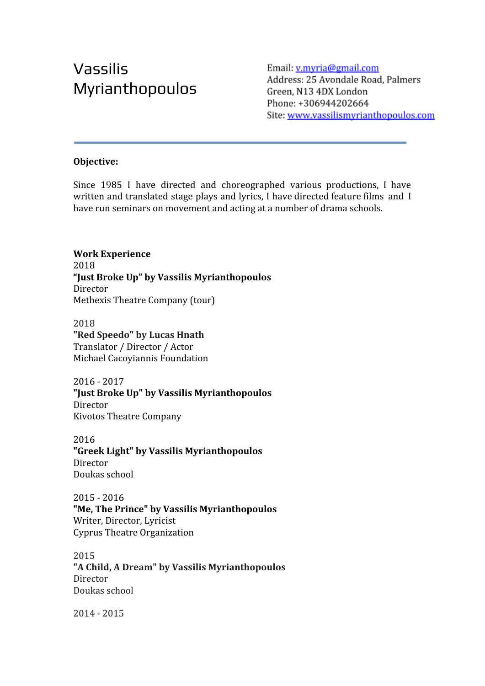# Vassilis Myrianthopoulos

Email: v.myria@gmail.com Address: 25 Avondale Road, Palmers Green, N13 4DX London Phone: +306944202664 Site: www.vassilismyrianthopoulos.com

## **Objective:**

Since 1985 I have directed and choreographed various productions, I have written and translated stage plays and lyrics, I have directed feature films and I have run seminars on movement and acting at a number of drama schools.

**Work Experience** 2018 **"Just Broke Up" by Vassilis Myrianthopoulos** Director Methexis Theatre Company (tour)

2018 **"Red Speedo" by Lucas Hnath** [Translator / Director / Actor](https://stage.mandy.com/uk/profile/credits/3083784/edit) Michael Cacoyiannis Foundation

2016 - 2017 **"Just Broke Up" by Vassilis Myrianthopoulos** Director Kivotos Theatre Company

2016 **"Greek Light" by Vassilis Myrianthopoulos** Director Doukas school

2015 - 2016 **"Me, The Prince" by Vassilis Myrianthopoulos** [Writer, Director, Lyricist](https://stage.mandy.com/uk/profile/credits/2971679/edit) Cyprus Theatre Organization

2015 **"A Child, A Dream" by Vassilis Myrianthopoulos** Director Doukas school

2014 - 2015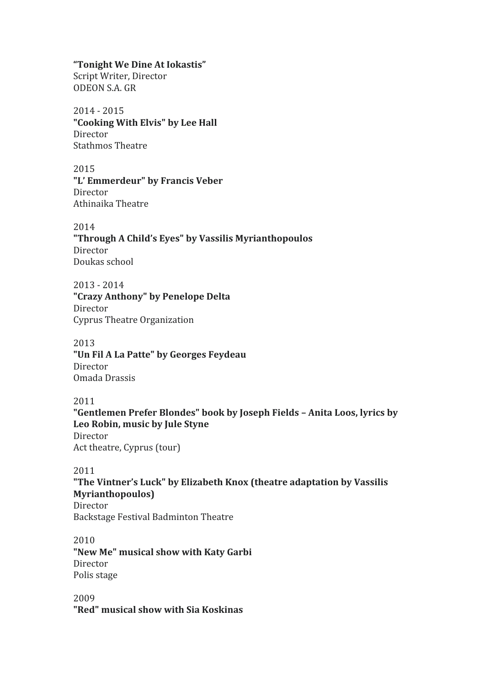#### **"Tonight We Dine At Iokastis"**

Script Writer, Director ODEON S.A. GR

## 2014 - 2015

**"Cooking With Elvis" by Lee Hall** Director Stathmos Theatre

## 2015

**"L' Emmerdeur" by Francis Veber** Director Athinaika Theatre

# 2014

**"Through A Child's Eyes" by Vassilis Myrianthopoulos** Director Doukas school

#### 2013 - 2014

**"Crazy Anthony" by Penelope Delta** Director Cyprus Theatre Organization

#### 2013

**"Un Fil A La Patte" by Georges Feydeau** Director Omada Drassis

#### 2011

**"Gentlemen Prefer Blondes" book by Joseph Fields – Anita Loos, lyrics by Leo Robin, music by Jule Styne** Director Act theatre, Cyprus (tour)

# 2011

**"The Vintner's Luck" by Elizabeth Knox (theatre adaptation by Vassilis Myrianthopoulos)**

Director Backstage Festival Badminton Theatre

#### 2010 **"New Me" musical show with Katy Garbi** Director Polis stage

2009 **"Red" musical show with Sia Koskinas**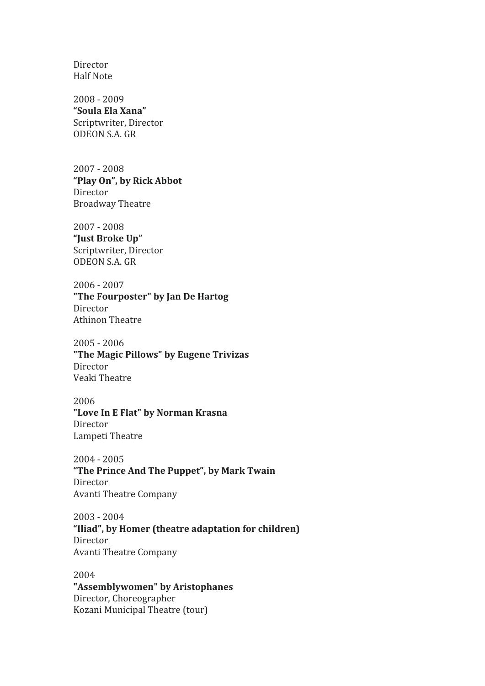Director Half Note

2008 - 2009 **"Soula Ela Xana"** Scriptwriter, Director ODEON S.A. GR

2007 - 2008 **"Play On", by Rick Abbot** Director Broadway Theatre

2007 - 2008 **"Just Broke Up"** Scriptwriter, Director ODEON S.A. GR

2006 - 2007 **"The Fourposter" by Jan De Hartog** Director Athinon Theatre

2005 - 2006 **"The Magic Pillows" by Eugene Trivizas** Director Veaki Theatre

2006 **"Love In E Flat" by Norman Krasna** Director Lampeti Theatre

2004 - 2005 **"The Prince And The Puppet", by Mark Twain** Director Avanti Theatre Company

2003 - 2004 **"Iliad", by Homer (theatre adaptation for children)** Director Avanti Theatre Company

2004 **"Assemblywomen" by Aristophanes** Director, Choreographer Kozani Municipal Theatre (tour)